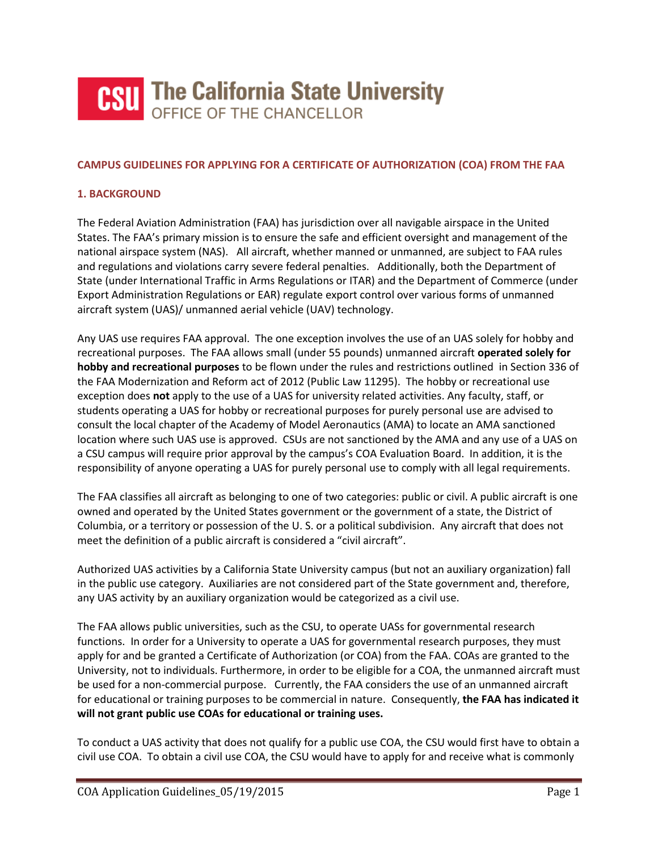

### **CAMPUS GUIDELINES FOR APPLYING FOR A CERTIFICATE OF AUTHORIZATION (COA) FROM THE FAA**

### **1. BACKGROUND**

The Federal Aviation Administration (FAA) has jurisdiction over all navigable airspace in the United States. The FAA's primary mission is to ensure the safe and efficient oversight and management of the national airspace system (NAS). All aircraft, whether manned or unmanned, are subject to FAA rules and regulations and violations carry severe federal penalties. Additionally, both the Department of State (under International Traffic in Arms Regulations or ITAR) and the Department of Commerce (under Export Administration Regulations or EAR) regulate export control over various forms of unmanned aircraft system (UAS)/ unmanned aerial vehicle (UAV) technology.

Any UAS use requires FAA approval. The one exception involves the use of an UAS solely for hobby and recreational purposes. The FAA allows small (under 55 pounds) unmanned aircraft **operated solely for hobby and recreational purposes** to be flown under the rules and restrictions outlined in Section 336 of the FAA Modernization and Reform act of 2012 (Public Law 11295). The hobby or recreational use exception does **not** apply to the use of a UAS for university related activities. Any faculty, staff, or students operating a UAS for hobby or recreational purposes for purely personal use are advised to consult the local chapter of the Academy of Model Aeronautics (AMA) to locate an AMA sanctioned location where such UAS use is approved. CSUs are not sanctioned by the AMA and any use of a UAS on a CSU campus will require prior approval by the campus's COA Evaluation Board. In addition, it is the responsibility of anyone operating a UAS for purely personal use to comply with all legal requirements.

The FAA classifies all aircraft as belonging to one of two categories: public or civil. A public aircraft is one owned and operated by the United States government or the government of a state, the District of Columbia, or a territory or possession of the U. S. or a political subdivision. Any aircraft that does not meet the definition of a public aircraft is considered a "civil aircraft".

Authorized UAS activities by a California State University campus (but not an auxiliary organization) fall in the public use category. Auxiliaries are not considered part of the State government and, therefore, any UAS activity by an auxiliary organization would be categorized as a civil use.

The FAA allows public universities, such as the CSU, to operate UASs for governmental research functions. In order for a University to operate a UAS for governmental research purposes, they must apply for and be granted a Certificate of Authorization (or COA) from the FAA. COAs are granted to the University, not to individuals. Furthermore, in order to be eligible for a COA, the unmanned aircraft must be used for a non-commercial purpose. Currently, the FAA considers the use of an unmanned aircraft for educational or training purposes to be commercial in nature. Consequently, **the FAA has indicated it will not grant public use COAs for educational or training uses.**

To conduct a UAS activity that does not qualify for a public use COA, the CSU would first have to obtain a civil use COA. To obtain a civil use COA, the CSU would have to apply for and receive what is commonly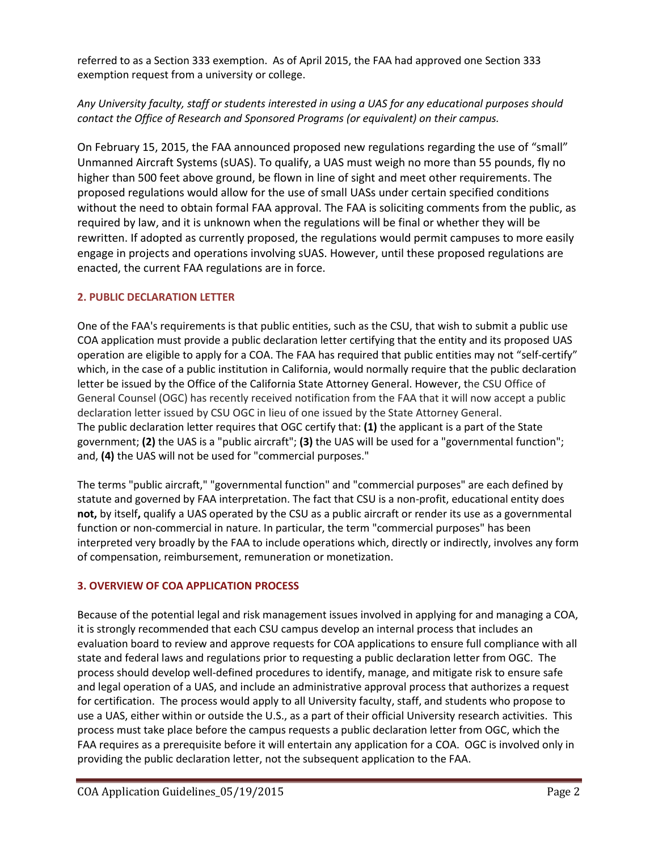referred to as a Section 333 exemption. As of April 2015, the FAA had approved one Section 333 exemption request from a university or college.

## *Any University faculty, staff or students interested in using a UAS for any educational purposes should contact the Office of Research and Sponsored Programs (or equivalent) on their campus.*

On February 15, 2015, the FAA announced proposed new regulations regarding the use of "small" Unmanned Aircraft Systems (sUAS). To qualify, a UAS must weigh no more than 55 pounds, fly no higher than 500 feet above ground, be flown in line of sight and meet other requirements. The proposed regulations would allow for the use of small UASs under certain specified conditions without the need to obtain formal FAA approval. The FAA is soliciting comments from the public, as required by law, and it is unknown when the regulations will be final or whether they will be rewritten. If adopted as currently proposed, the regulations would permit campuses to more easily engage in projects and operations involving sUAS. However, until these proposed regulations are enacted, the current FAA regulations are in force.

## **2. PUBLIC DECLARATION LETTER**

One of the FAA's requirements is that public entities, such as the CSU, that wish to submit a public use COA application must provide a public declaration letter certifying that the entity and its proposed UAS operation are eligible to apply for a COA. The FAA has required that public entities may not "self-certify" which, in the case of a public institution in California, would normally require that the public declaration letter be issued by the Office of the California State Attorney General. However, the CSU Office of General Counsel (OGC) has recently received notification from the FAA that it will now accept a public declaration letter issued by CSU OGC in lieu of one issued by the State Attorney General. The public declaration letter requires that OGC certify that: **(1)** the applicant is a part of the State government; **(2)** the UAS is a "public aircraft"; **(3)** the UAS will be used for a "governmental function"; and, **(4)** the UAS will not be used for "commercial purposes."

The terms "public aircraft," "governmental function" and "commercial purposes" are each defined by statute and governed by FAA interpretation. The fact that CSU is a non-profit, educational entity does **not,** by itself**,** qualify a UAS operated by the CSU as a public aircraft or render its use as a governmental function or non-commercial in nature. In particular, the term "commercial purposes" has been interpreted very broadly by the FAA to include operations which, directly or indirectly, involves any form of compensation, reimbursement, remuneration or monetization.

## **3. OVERVIEW OF COA APPLICATION PROCESS**

Because of the potential legal and risk management issues involved in applying for and managing a COA, it is strongly recommended that each CSU campus develop an internal process that includes an evaluation board to review and approve requests for COA applications to ensure full compliance with all state and federal laws and regulations prior to requesting a public declaration letter from OGC. The process should develop well-defined procedures to identify, manage, and mitigate risk to ensure safe and legal operation of a UAS, and include an administrative approval process that authorizes a request for certification. The process would apply to all University faculty, staff, and students who propose to use a UAS, either within or outside the U.S., as a part of their official University research activities. This process must take place before the campus requests a public declaration letter from OGC, which the FAA requires as a prerequisite before it will entertain any application for a COA. OGC is involved only in providing the public declaration letter, not the subsequent application to the FAA.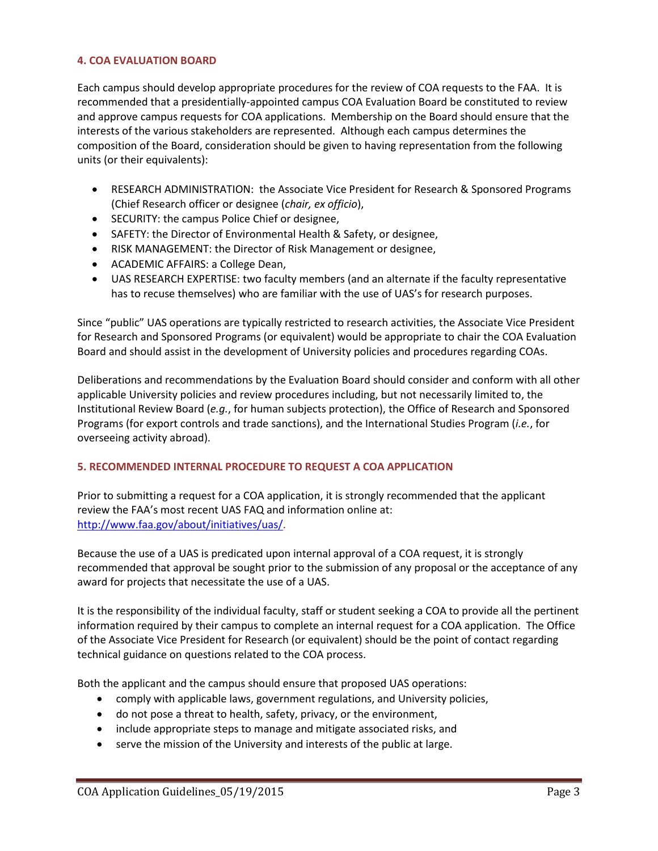### **4. COA EVALUATION BOARD**

Each campus should develop appropriate procedures for the review of COA requests to the FAA. It is recommended that a presidentially-appointed campus COA Evaluation Board be constituted to review and approve campus requests for COA applications. Membership on the Board should ensure that the interests of the various stakeholders are represented. Although each campus determines the composition of the Board, consideration should be given to having representation from the following units (or their equivalents):

- RESEARCH ADMINISTRATION: the Associate Vice President for Research & Sponsored Programs (Chief Research officer or designee (*chair, ex officio*),
- SECURITY: the campus Police Chief or designee,
- SAFETY: the Director of Environmental Health & Safety, or designee,
- RISK MANAGEMENT: the Director of Risk Management or designee,
- ACADEMIC AFFAIRS: a College Dean,
- UAS RESEARCH EXPERTISE: two faculty members (and an alternate if the faculty representative has to recuse themselves) who are familiar with the use of UAS's for research purposes.

Since "public" UAS operations are typically restricted to research activities, the Associate Vice President for Research and Sponsored Programs (or equivalent) would be appropriate to chair the COA Evaluation Board and should assist in the development of University policies and procedures regarding COAs.

Deliberations and recommendations by the Evaluation Board should consider and conform with all other applicable University policies and review procedures including, but not necessarily limited to, the Institutional Review Board (*e.g.*, for human subjects protection), the Office of Research and Sponsored Programs (for export controls and trade sanctions), and the International Studies Program (*i.e.*, for overseeing activity abroad).

## **5. RECOMMENDED INTERNAL PROCEDURE TO REQUEST A COA APPLICATION**

Prior to submitting a request for a COA application, it is strongly recommended that the applicant review the FAA's most recent UAS FAQ and information online at: [http://www.faa.gov/about/initiatives/uas/.](http://www.faa.gov/about/initiatives/uas/)

Because the use of a UAS is predicated upon internal approval of a COA request, it is strongly recommended that approval be sought prior to the submission of any proposal or the acceptance of any award for projects that necessitate the use of a UAS.

It is the responsibility of the individual faculty, staff or student seeking a COA to provide all the pertinent information required by their campus to complete an internal request for a COA application. The Office of the Associate Vice President for Research (or equivalent) should be the point of contact regarding technical guidance on questions related to the COA process.

Both the applicant and the campus should ensure that proposed UAS operations:

- comply with applicable laws, government regulations, and University policies,
- do not pose a threat to health, safety, privacy, or the environment,
- include appropriate steps to manage and mitigate associated risks, and
- serve the mission of the University and interests of the public at large.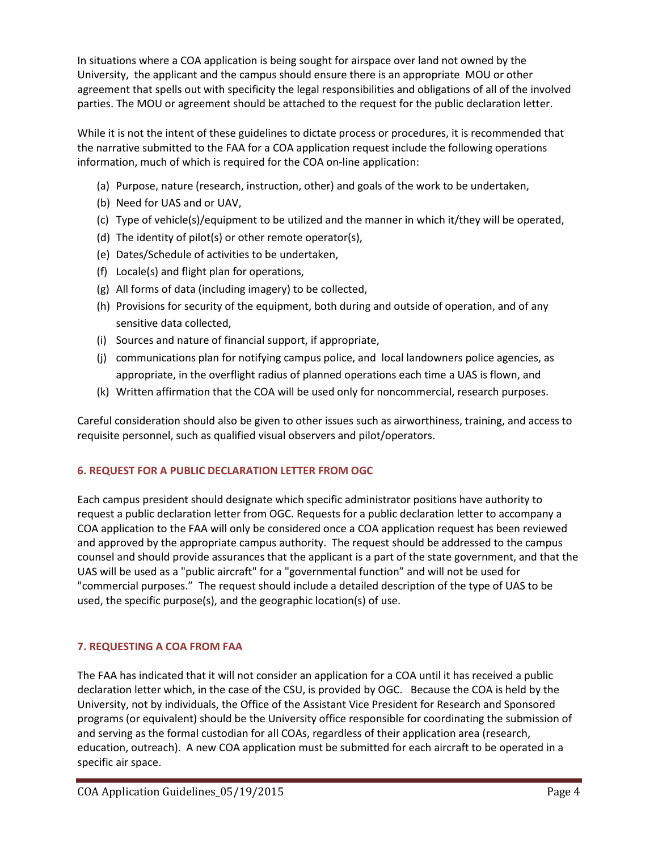In situations where a COA application is being sought for airspace over land not owned by the University, the applicant and the campus should ensure there is an appropriate MOU or other agreement that spells out with specificity the legal responsibilities and obligations of all of the involved parties. The MOU or agreement should be attached to the request for the public declaration letter.

While it is not the intent of these guidelines to dictate process or procedures, it is recommended that the narrative submitted to the FAA for a COA application request include the following operations information, much of which is required for the COA on-line application:

- (a) Purpose, nature (research, instruction, other) and goals of the work to be undertaken,
- (b) Need for UAS and or UAV,
- (c) Type of vehicle(s)/equipment to be utilized and the manner in which it/they will be operated,
- (d) The identity of pilot(s) or other remote operator(s),
- (e) Dates/Schedule of activities to be undertaken,
- (f) Locale(s) and flight plan for operations,
- (g) All forms of data (including imagery) to be collected,
- (h) Provisions for security of the equipment, both during and outside of operation, and of any sensitive data collected,
- (i) Sources and nature of financial support, if appropriate,
- (j) communications plan for notifying campus police, and local landowners police agencies, as appropriate, in the overflight radius of planned operations each time a UAS is flown, and
- (k) Written affirmation that the COA will be used only for noncommercial, research purposes.

Careful consideration should also be given to other issues such as airworthiness, training, and access to requisite personnel, such as qualified visual observers and pilot/operators.

# **6. REQUEST FOR A PUBLIC DECLARATION LETTER FROM OGC**

Each campus president should designate which specific administrator positions have authority to request a public declaration letter from OGC. Requests for a public declaration letter to accompany a COA application to the FAA will only be considered once a COA application request has been reviewed and approved by the appropriate campus authority. The request should be addressed to the campus counsel and should provide assurances that the applicant is a part of the state government, and that the UAS will be used as a "public aircraft" for a "governmental function" and will not be used for "commercial purposes." The request should include a detailed description of the type of UAS to be used, the specific purpose(s), and the geographic location(s) of use.

# **7. REQUESTING A COA FROM FAA**

The FAA has indicated that it will not consider an application for a COA until it has received a public declaration letter which, in the case of the CSU, is provided by OGC. Because the COA is held by the University, not by individuals, the Office of the Assistant Vice President for Research and Sponsored programs (or equivalent) should be the University office responsible for coordinating the submission of and serving as the formal custodian for all COAs, regardless of their application area (research, education, outreach). A new COA application must be submitted for each aircraft to be operated in a specific air space.